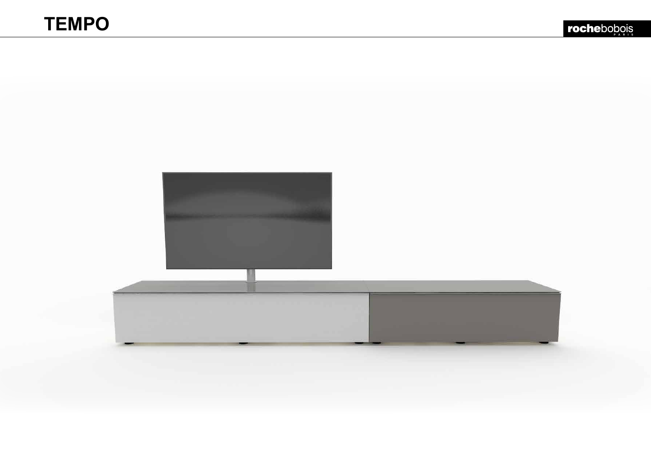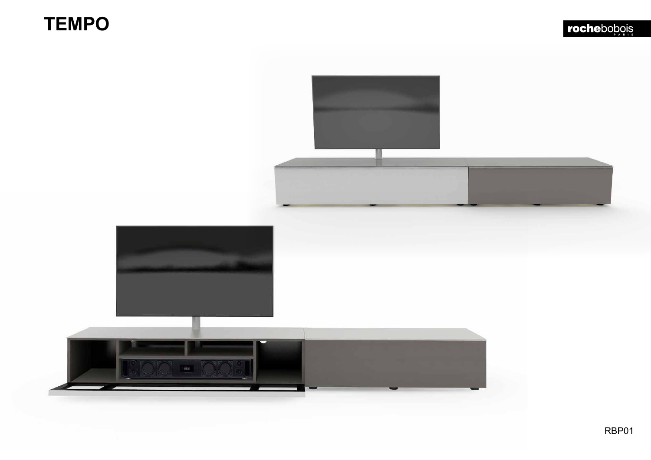